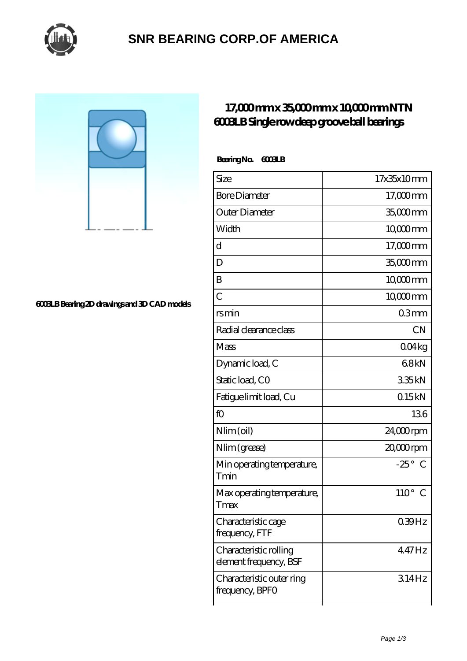

### **[SNR BEARING CORP.OF AMERICA](https://thebestofquebec.com)**

#### **[6003LB Bearing 2D drawings and 3D CAD models](https://thebestofquebec.com/pic-64979125.html)**

### **[17,000 mm x 35,000 mm x 10,000 mm NTN](https://thebestofquebec.com/by-64979125-ntn-6003lb-single-row-deep-groove-ball-bearings.html) [6003LB Single row deep groove ball bearings](https://thebestofquebec.com/by-64979125-ntn-6003lb-single-row-deep-groove-ball-bearings.html)**

### **Bearing No. 6003LB**

| Size                                             | 17x35x10mm                  |
|--------------------------------------------------|-----------------------------|
| <b>Bore Diameter</b>                             | 17,000 mm                   |
| Outer Diameter                                   | 35,000mm                    |
| Width                                            | 10000mm                     |
| d                                                | $17,000$ mm                 |
| D                                                | 35,000mm                    |
| B                                                | $10000$ <sub>mm</sub>       |
| $\overline{C}$                                   | 10,000mm                    |
| rsmin                                            | 03mm                        |
| Radial clearance class                           | <b>CN</b>                   |
| Mass                                             | 004kg                       |
| Dynamic load, C                                  | 68kN                        |
| Static load, CO                                  | 335kN                       |
| Fatigue limit load, Cu                           | 015kN                       |
| fO                                               | 136                         |
| Nlim (oil)                                       | 24,000rpm                   |
| Nlim (grease)                                    | 20,000rpm                   |
| Min operating temperature,<br>Tmin               | $-25^\circ$<br>$\mathcal C$ |
| Max operating temperature,<br>Tmax               | $110^{\circ}$<br>C          |
| Characteristic cage<br>frequency, FTF            | 0.39Hz                      |
| Characteristic rolling<br>element frequency, BSF | 447Hz                       |
| Characteristic outer ring<br>frequency, BPFO     | 314Hz                       |
|                                                  |                             |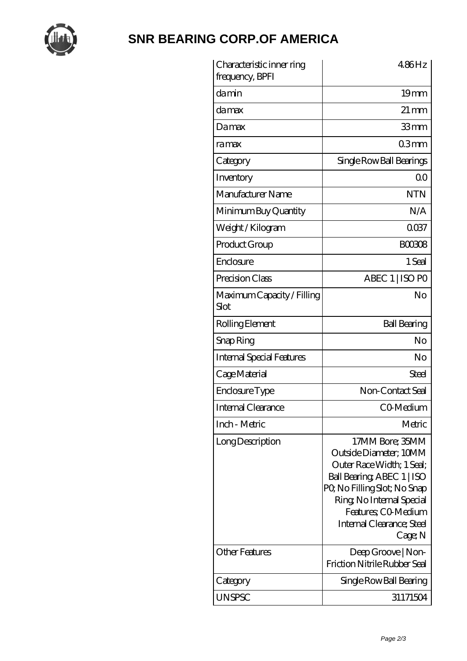

# **[SNR BEARING CORP.OF AMERICA](https://thebestofquebec.com)**

| Characteristic inner ring<br>frequency, BPFI | 4.86Hz                                                                                                                                                                                                                          |
|----------------------------------------------|---------------------------------------------------------------------------------------------------------------------------------------------------------------------------------------------------------------------------------|
| damin                                        | 19 <sub>mm</sub>                                                                                                                                                                                                                |
| damax                                        | $21 \,\mathrm{mm}$                                                                                                                                                                                                              |
| Damax                                        | 33mm                                                                                                                                                                                                                            |
| ramax                                        | 03mm                                                                                                                                                                                                                            |
| Category                                     | Single Row Ball Bearings                                                                                                                                                                                                        |
| Inventory                                    | 0 <sup>0</sup>                                                                                                                                                                                                                  |
| Manufacturer Name                            | <b>NTN</b>                                                                                                                                                                                                                      |
| Minimum Buy Quantity                         | N/A                                                                                                                                                                                                                             |
| Weight /Kilogram                             | 0037                                                                                                                                                                                                                            |
| Product Group                                | <b>BOO3O8</b>                                                                                                                                                                                                                   |
| Enclosure                                    | 1 Seal                                                                                                                                                                                                                          |
| Precision Class                              | ABEC 1   ISO PO                                                                                                                                                                                                                 |
| Maximum Capacity / Filling<br>Slot           | No                                                                                                                                                                                                                              |
| Rolling Element                              | <b>Ball Bearing</b>                                                                                                                                                                                                             |
| Snap Ring                                    | No                                                                                                                                                                                                                              |
| <b>Internal Special Features</b>             | No                                                                                                                                                                                                                              |
| Cage Material                                | Steel                                                                                                                                                                                                                           |
| Enclosure Type                               | Non-Contact Seal                                                                                                                                                                                                                |
| Internal Clearance                           | CO-Medium                                                                                                                                                                                                                       |
| Inch - Metric                                | Metric                                                                                                                                                                                                                          |
| Long Description                             | 17MM Bore; 35MM<br>Outside Diameter; 10MM<br>Outer Race Width: 1 Seal:<br>Ball Bearing, ABEC 1   ISO<br>PQ No Filling Slot; No Snap<br>Ring, No Internal Special<br>Features; CO Medium<br>Internal Clearance; Steel<br>Cage; N |
| <b>Other Features</b>                        | Deep Groove   Non-<br>Friction Nitrile Rubber Seal                                                                                                                                                                              |
| Category                                     | Single Row Ball Bearing                                                                                                                                                                                                         |
| <b>UNSPSC</b>                                | 31171504                                                                                                                                                                                                                        |